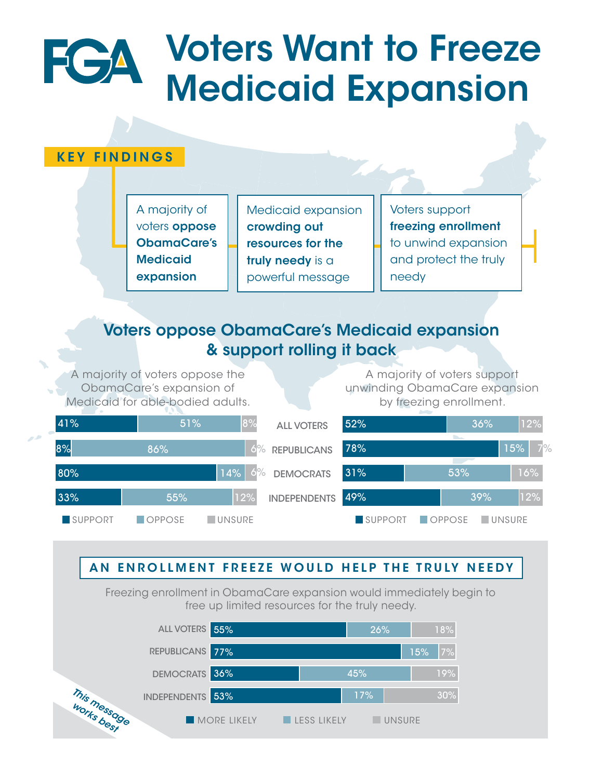# Voters Want to Freeze FGA Medicaid Expansion

## KEY FINDINGS

A majority of voters **oppose** ObamaCare's **Medicaid** expansion

Medicaid expansion crowding out resources for the truly needy is a powerful message

Voters support freezing enrollment to unwind expansion and protect the truly needy

## Voters oppose ObamaCare's Medicaid expansion **80 support rolling it back and relatively to the set of the set of the set of the set of the set of the set of the set of the set of the set of the set of the set of the set of the set of the set of the set of the set of**

A majority of voters oppose the ObamaCare's expansion of Medicaid for able-bodied adults.

A majority of voters support unwinding ObamaCare expansion by freezing enrollment.

55% 26% 18%



## AN ENROLLMENT FREEZE WOULD HELP THE TRULY NEEDY

Freezing enrollment in ObamaCare expansion would immediately begin to free up limited resources for the truly needy. 31% 53% 16%